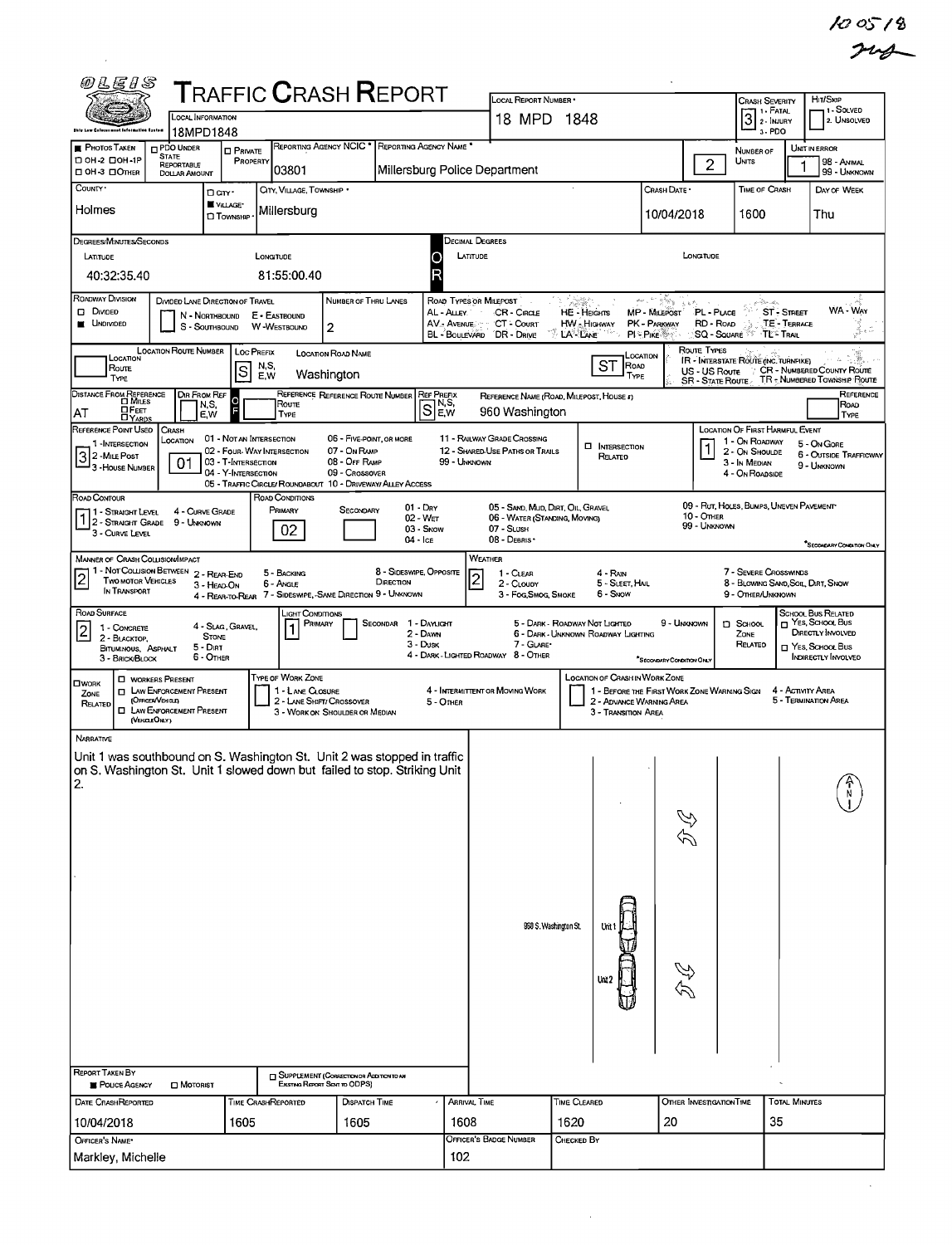$\sim 10^{-1}$ 

| 网片尼日名                                                                                                                                                                    | <b>TRAFFIC CRASH REPORT</b>                                                                                                                                         |                                                                             |                                                                      | LOCAL REPORT NUMBER .                                                                           |                                                                       |                                                                                                                                                    | Hir/Skip<br><b>CRASH SEVERITY</b><br>1 - Solved                                                                                                                        |
|--------------------------------------------------------------------------------------------------------------------------------------------------------------------------|---------------------------------------------------------------------------------------------------------------------------------------------------------------------|-----------------------------------------------------------------------------|----------------------------------------------------------------------|-------------------------------------------------------------------------------------------------|-----------------------------------------------------------------------|----------------------------------------------------------------------------------------------------------------------------------------------------|------------------------------------------------------------------------------------------------------------------------------------------------------------------------|
| LOCAL INFORMATION<br><b>Dhie Law Coloconment Information Exched</b><br>18MPD1848                                                                                         |                                                                                                                                                                     |                                                                             |                                                                      | 18 MPD 1848                                                                                     |                                                                       |                                                                                                                                                    | 3 <sup>1. FATAL</sup><br>2. UNSOLVED<br>3-PDO                                                                                                                          |
| PDO UNDER<br><b>PHOTOS TAKEN</b><br><b>STATE</b><br>DOH 2 DOH -1P<br>REPORTABLE<br>□ OH-3 □ OTHER<br><b>DOLLAR AMOUNT</b>                                                | <b>D</b> PRIVATE<br>PROPERTY<br>03801                                                                                                                               | REPORTING AGENCY NCIC <sup>*</sup> REPORTING AGENCY NAME <sup>*</sup>       | Millersburg Police Department                                        |                                                                                                 |                                                                       | $\overline{c}$                                                                                                                                     | UNIT IN ERROR<br>NUMBER OF<br>UNITS<br>98 - ANIMAL<br>99 - Unknown                                                                                                     |
| COUNTY ·<br>Holmes                                                                                                                                                       | CITY, VILLAGE, TOWNSHIP *<br>Darr.<br>VILLAGE*<br>Millersburg<br><b>D</b> TOWNSHIP                                                                                  |                                                                             |                                                                      |                                                                                                 |                                                                       | Crash Date *<br>10/04/2018                                                                                                                         | TIME OF CRASH<br>DAY OF WEEK<br>1600<br>Thu                                                                                                                            |
| DEGREES/MINUTES/SECONDS                                                                                                                                                  |                                                                                                                                                                     |                                                                             | Decimal Degrees                                                      |                                                                                                 |                                                                       |                                                                                                                                                    |                                                                                                                                                                        |
| LATITUDE<br>40:32:35.40                                                                                                                                                  | LONGITUDE<br>81:55:00.40                                                                                                                                            |                                                                             | LATITUDE<br>Ω                                                        |                                                                                                 |                                                                       | LONGITUDE                                                                                                                                          |                                                                                                                                                                        |
| ROADWAY DIVISION<br>D. DIVIDED<br>N - NORTHBOUND<br><b>UNDIVIDED</b><br>S - SOUTHBOUND                                                                                   | DIVIDED LANE DIRECTION OF TRAVEL<br>E - EASTBOUND<br><b>W-WESTBOUND</b>                                                                                             | NUMBER OF THRU LANES<br>2                                                   | ROAD TYPES OR MILEPOST<br>AL - ALLEY<br>AV. AVENUE<br>BL - BOULEVARD | CR-CIRCLE<br>CT Court<br>DR - DRIVE                                                             | <b>HE-HEIGHTS</b><br><b>HW</b> Highway<br>LA-LANE                     | san din Kong<br>$\langle g, g, \theta \rangle = 0$ .<br>MP - MILEPOST<br>PL - Puce<br>RD - ROAD<br>PK - PARKWAY<br>PI - Pike<br><b>SQ - SOUARE</b> | g det produksi<br>经产<br>WA - Way<br><b>ST - STREET</b><br>TE - TERRACE<br>y.<br>-53<br>∘TĽ"- Trail                                                                     |
| <b>LOCATION ROUTE NUMBER</b><br>LOCATION<br>Route<br><b>TYPE</b>                                                                                                         | <b>LOC PREFIX</b><br>N,S,<br> s<br>Washington<br>E,W                                                                                                                | <b>LOCATION ROAD NAME</b>                                                   |                                                                      |                                                                                                 | ST<br>ROAD<br><b>TYPE</b>                                             | Route Types<br>LOCATION                                                                                                                            | IR - INTERSTATE ROUTE (INC. TURNPIKE)<br>US - US ROUTE : CR - NUMBERED COUNTY ROUTE<br>SR - STATE ROUTE TR - NUMBERED TOWNSHIP ROUTE                                   |
| DISTANCE FROM REFERENCE<br>DIR FROM REF<br>N,S,<br><b>OFEET</b><br>AT<br>E.W                                                                                             | Route<br>TYPE                                                                                                                                                       | REFERENCE REFERENCE ROUTE NUMBER                                            | Ref Prefix<br>Sew.                                                   | 960 Washington                                                                                  | REFERENCE NAME (ROAD, MILEPOST, HOUSE #)                              |                                                                                                                                                    | REFERENCE<br>ROAD<br>TYPE                                                                                                                                              |
| REFERENCE POINT USED<br><b>CRASH</b><br>LOCATION<br>1-INTERSECTION<br>3 2 - Mile Post<br>3 - House Number<br>01                                                          | 01 - NOT AN INTERSECTION<br>02 - FOUR-WAY INTERSECTION<br>03 - T-INTERSECTION<br>04 - Y-INTERSECTION<br>05 - TRAFFIC CIRCLE/ ROUNDABOUT 10 - DRIVEWAY/ ALLEY ACCESS | 06 - FIVE-POINT, OR MORE<br>07 - On RAMP<br>08 - OFF RAMP<br>09 - Crossover | 99 - UNKNOWN                                                         | 11 - RAILWAY GRADE CROSSING<br>12 - SHARED-USE PATHS OR TRAILS                                  | <b>INTERSECTION</b><br>RELATED                                        |                                                                                                                                                    | LOCATION OF FIRST HARMFUL EVENT<br>1 - On ROADWAY<br>5 - On Gore<br>2 - ON SHOULDE<br><b>6 - OUTSIDE TRAFFICWAY</b><br>3 - In Median<br>9 - UNKNOWN<br>4 - On ROADSIDE |
| ROAD CONTOUR<br>4 - CURVE GRADE<br>1 - Straght Level<br>2 - STRAIGHT GRADE 9 - UNKNOWN<br>3 - CURVE LEVEL                                                                | ROAD CONDITIONS<br>PRIMARY<br>02                                                                                                                                    | $01 - DRY$<br>SECONDARY<br>$02 - WET$<br>03 - Snow<br>04 - Ice              |                                                                      | 05 - SAND, MUD, DIRT, OIL, GRAVEL<br>06 - WATER (STANDING, MOVING)<br>07 - Slush<br>08 - DEBRIS |                                                                       | <b>10 - OTHER</b><br>99 - UNKNOWN                                                                                                                  | 09 - RUT, HOLES, BUMPS, UNEVEN PAVEMENT<br>"SECONDARY CONDITION ONLY                                                                                                   |
| MANNER OF CRASH COLLISION/IMPACT<br>1 - Not Collision Between 2 - REAR-END<br>$\overline{c}$<br>TWO MOTOR VEHICLES<br>IN TRANSPORT                                       | 5 - BACKING<br>6 - Angle<br>3 - HEAD-ON<br>4 - REAR-TO-REAR 7 - SIDESWIPE, -SAME DIRECTION 9 - UNKNOWN                                                              | 8 - SIDESWIPE, OPPOSITE<br>DIRECTION                                        | <b>WEATHER</b><br>$\overline{2}$                                     | 1 - CLEAR<br>2 - CLOUDY<br>3 - Fog, Smog, Smoke                                                 | $4 - R_{NN}$<br>5 - SLEET, HAIL<br>6 - Snow                           |                                                                                                                                                    | 7 - SEVERE CROSSWINDS<br>8 - BLOWING SAND SOIL DIRT, SNOW<br>9 - OTHER/UNKNOWN                                                                                         |
| ROAD SURFACE<br>1 - CONCRETE<br>2<br>2 - BLACKTOP.<br>$5 - D$<br>BITUMINOUS, ASPHALT<br>6 - OTHER<br>3 - BRICK/BLOCK                                                     | Light Conditions<br>PRIMARY<br>4 - SLAG, GRAVEL,<br><b>STONE</b>                                                                                                    | SECONDAR<br>1 - Daylight<br>2 - DAWN<br>$3 - D$ usk                         |                                                                      | 7 - GLARE*<br>4 - DARK - LIGHTED ROADWAY 8 - OTHER                                              | 5 - DARK - ROADWAY NOT LIGHTED<br>6 - DARK - UNKNOWN ROADWAY LIGHTING | 9 - Unknown<br>SECONDARY CONDITION ONLY                                                                                                            | SCHOOL BUS RELATED<br>YES, SCHOOL BUS<br>$\square$ SCHOOL<br>DIRECTLY INVOLVED<br>ZONE<br>RELATED<br>T YES, SCHOOL BUS<br>INDIRECTLY INVOLVED                          |
| <b>CI WORKERS PRESENT</b><br><b>OWORK</b><br><b>EL LAW ENFORCEMENT PRESENT</b><br>ZONE<br>(OFROER/VENGLE)<br>RELATED<br><b>I LAW ENFORCEMENT PRESENT</b><br>(VENDEONLY)  | TYPE OF WORK ZONE<br>1 - LANE CLOSURE<br>2 - LANE SHIFT/ CROSSOVER                                                                                                  | 3 - WORK ON SHOULDER OR MEDIAN                                              | 5 - OTHER                                                            | 4 - INTERMITTENT OR MOVING WORK                                                                 | <b>LOCATION OF CRASH IN WORK ZONE</b><br>3 - Transition Area          | 1 - BEFORE THE FIRST WORK ZONE WARMING SIGN<br>2 - ADVANCE WARNING AREA                                                                            | 4 - ACTIVITY AREA<br>5 - TERMINATION AREA                                                                                                                              |
| NARRATIVE<br>Unit 1 was southbound on S. Washington St. Unit 2 was stopped in traffic<br>on S. Washington St. Unit 1 slowed down but failed to stop. Striking Unit<br>2. |                                                                                                                                                                     |                                                                             |                                                                      |                                                                                                 |                                                                       | DL                                                                                                                                                 |                                                                                                                                                                        |
|                                                                                                                                                                          |                                                                                                                                                                     |                                                                             |                                                                      |                                                                                                 | 960 S. Washington St.                                                 | R<br>R                                                                                                                                             |                                                                                                                                                                        |
| REPORT TAKEN BY<br><b>D</b> MOTORIST<br><b>B</b> POUCE AGENCY                                                                                                            | Existing Report Sent to ODPS)                                                                                                                                       | <b>SUPPLEMENT (CORRECTION OR ADDITION TO AN</b>                             |                                                                      |                                                                                                 |                                                                       |                                                                                                                                                    |                                                                                                                                                                        |
| <b>DATE CRASHREPORTED</b><br>10/04/2018                                                                                                                                  | TIME CRASHREPORTED<br>1605                                                                                                                                          | DISPATCH TIME<br>1605                                                       | ARRIVAL TIME<br>1608                                                 |                                                                                                 | TIME CLEARED<br>1620                                                  | OTHER INVESTIGATION TIME<br>20                                                                                                                     | <b>TOTAL MINUTES</b><br>35                                                                                                                                             |
| OFFICER'S NAME*<br>Markley, Michelle                                                                                                                                     |                                                                                                                                                                     |                                                                             | 102                                                                  | OFFICER'S BADGE NUMBER                                                                          | Снескер Ву                                                            |                                                                                                                                                    |                                                                                                                                                                        |

 $\sim$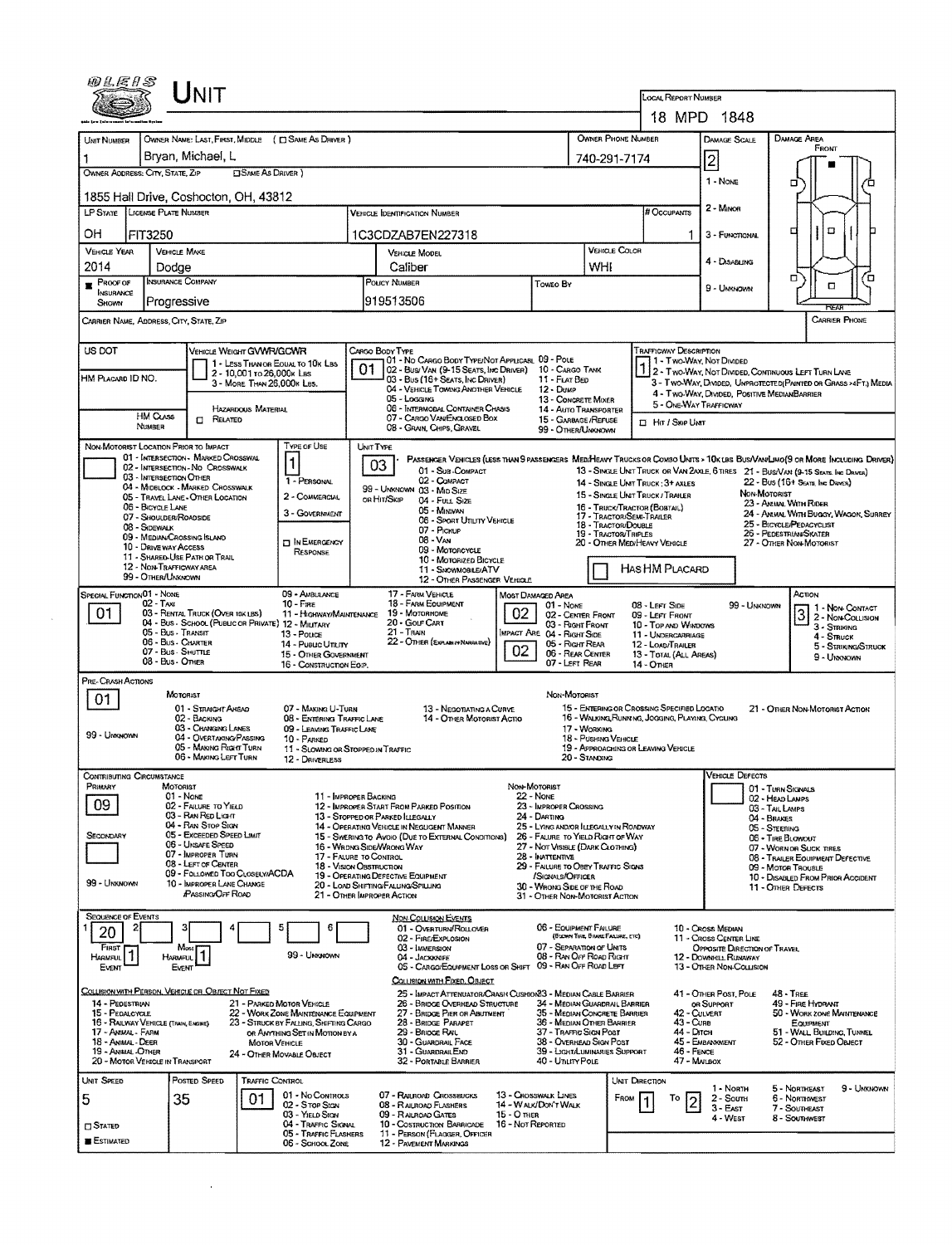|                                                            |                                                      |                                                                         |                                                          |                                                                                 |                                                   |                                                                                                                                                                                                                                                                                                                        |                   |                                                                                   |                                                                                 | LOCAL REPORT NUMBER                                             |                                                                                                                                                                                                  |                                                                                                                                                                                                                    |  |  |
|------------------------------------------------------------|------------------------------------------------------|-------------------------------------------------------------------------|----------------------------------------------------------|---------------------------------------------------------------------------------|---------------------------------------------------|------------------------------------------------------------------------------------------------------------------------------------------------------------------------------------------------------------------------------------------------------------------------------------------------------------------------|-------------------|-----------------------------------------------------------------------------------|---------------------------------------------------------------------------------|-----------------------------------------------------------------|--------------------------------------------------------------------------------------------------------------------------------------------------------------------------------------------------|--------------------------------------------------------------------------------------------------------------------------------------------------------------------------------------------------------------------|--|--|
|                                                            |                                                      |                                                                         |                                                          |                                                                                 |                                                   |                                                                                                                                                                                                                                                                                                                        |                   |                                                                                   |                                                                                 |                                                                 | 18 MPD 1848                                                                                                                                                                                      |                                                                                                                                                                                                                    |  |  |
| UNIT NUMBER                                                |                                                      |                                                                         |                                                          | OWNER NAME: LAST, FIRST, MIDDLE ( C) SAME AS DRIVER )                           |                                                   |                                                                                                                                                                                                                                                                                                                        |                   |                                                                                   | OWNER PHONE NUMBER                                                              |                                                                 | <b>DAMAGE SCALE</b>                                                                                                                                                                              | <b>DAMAGE AREA</b>                                                                                                                                                                                                 |  |  |
|                                                            |                                                      | Bryan, Michael, L                                                       |                                                          |                                                                                 |                                                   |                                                                                                                                                                                                                                                                                                                        |                   |                                                                                   | 740-291-7174                                                                    |                                                                 | $\overline{c}$                                                                                                                                                                                   | FRONT                                                                                                                                                                                                              |  |  |
| OWNER ADDRESS: CITY, STATE, ZIP                            |                                                      |                                                                         | <b>EISAME AS DRIVER</b> )                                |                                                                                 |                                                   |                                                                                                                                                                                                                                                                                                                        |                   |                                                                                   |                                                                                 |                                                                 | 1 - NONE                                                                                                                                                                                         | □                                                                                                                                                                                                                  |  |  |
| 1855 Hall Drive, Coshocton, OH, 43812                      |                                                      |                                                                         |                                                          |                                                                                 |                                                   |                                                                                                                                                                                                                                                                                                                        |                   |                                                                                   |                                                                                 |                                                                 |                                                                                                                                                                                                  |                                                                                                                                                                                                                    |  |  |
| LICENSE PLATE NUMBER<br><b>LP STATE</b>                    |                                                      |                                                                         |                                                          |                                                                                 |                                                   | <b>VEHICLE IDENTIFICATION NUMBER</b>                                                                                                                                                                                                                                                                                   |                   |                                                                                   |                                                                                 |                                                                 | 2 - Minon                                                                                                                                                                                        |                                                                                                                                                                                                                    |  |  |
| OН<br><b>FIT3250</b>                                       |                                                      |                                                                         |                                                          |                                                                                 |                                                   | 1C3CDZAB7EN227318                                                                                                                                                                                                                                                                                                      |                   |                                                                                   |                                                                                 | -1                                                              | 3 - FUNCTIONAL                                                                                                                                                                                   | o<br>□                                                                                                                                                                                                             |  |  |
| <b>VEHICLE YEAR</b><br><b>VEHICLE MAKE</b><br>2014         |                                                      |                                                                         |                                                          |                                                                                 | <b>VEHICLE MODEL</b><br>Caliber                   |                                                                                                                                                                                                                                                                                                                        |                   | VEHICLE COLOR<br>WHI                                                              |                                                                                 | 4 - DISABLING                                                   |                                                                                                                                                                                                  |                                                                                                                                                                                                                    |  |  |
| Dodge<br>INSURANCE COMPANY<br>$R$ Proof of                 |                                                      |                                                                         |                                                          | POUCY NUMBER                                                                    |                                                   | Toweo By                                                                                                                                                                                                                                                                                                               |                   |                                                                                   |                                                                                 | п<br>г.<br>о                                                    |                                                                                                                                                                                                  |                                                                                                                                                                                                                    |  |  |
| INSURANCE<br>Progressive<br>SHOWN                          |                                                      |                                                                         |                                                          | 919513506                                                                       |                                                   |                                                                                                                                                                                                                                                                                                                        |                   |                                                                                   | 9 - UNKNOWN                                                                     |                                                                 |                                                                                                                                                                                                  |                                                                                                                                                                                                                    |  |  |
| CARRIER NAME, ADDRESS, CITY, STATE, ZIP                    |                                                      |                                                                         |                                                          |                                                                                 |                                                   |                                                                                                                                                                                                                                                                                                                        |                   |                                                                                   |                                                                                 |                                                                 |                                                                                                                                                                                                  | RFA<br>CARRIER PHONE                                                                                                                                                                                               |  |  |
| US DOT                                                     |                                                      | VEHICLE WEIGHT GVWR/GCWR                                                |                                                          |                                                                                 |                                                   | CARGO BODY TYPE                                                                                                                                                                                                                                                                                                        |                   |                                                                                   |                                                                                 | TRAFFICWAY DESCRIPTION                                          |                                                                                                                                                                                                  |                                                                                                                                                                                                                    |  |  |
|                                                            |                                                      |                                                                         |                                                          | 1 - LESS THAN OR EQUAL TO 10K LBS                                               |                                                   | 101 - No Cargo Body Type/Not Applicabl 09 - Pole<br>02 - Bus/Van (9-15 Seats, Inc Driver)                                                                                                                                                                                                                              |                   | 10 - Cargo Tann                                                                   |                                                                                 |                                                                 | 1 - Two Way, Not Divided                                                                                                                                                                         |                                                                                                                                                                                                                    |  |  |
| HM PLACARD ID NO.                                          |                                                      |                                                                         | 2 - 10,001 to 26,000 k Las<br>3 - MORE THAN 26,000K LBS. |                                                                                 |                                                   | 03 - Bus (16+ Seats, Inc Daiver)<br>11 - FLAT BED<br>04 - VEHICLE TOWING ANOTHER VEHICLE<br>$12 - D$ ukP<br>05 - Logging<br>13 - CONCRETE MIXER<br>06 - INTERMODAL CONTAINER CHASIS<br>14 - AUTO TRANSPORTER<br>07 - CARGO VAN/ENGLOSED BOX<br>15 - GARBAGE /REFUSE<br>08 - GRAIN, CHIPS, GRAVEL<br>99 - OTHER/UNKNOWN |                   |                                                                                   |                                                                                 |                                                                 | 2 - Two-Way, Not Divided, Communios Left Turn Lave<br>3 - Two-Way, DIVIDED, UNPROTECTED (PAINTED OR GRASS >4FT.) MEDIA<br>4 - Two-Way, DIVIDED, POSITIVE MEDIANBARRIER<br>5 - ONE-WAY TRAFFICWAY |                                                                                                                                                                                                                    |  |  |
|                                                            |                                                      |                                                                         | HAZARDOUS MATERIAL                                       |                                                                                 |                                                   |                                                                                                                                                                                                                                                                                                                        |                   |                                                                                   |                                                                                 |                                                                 |                                                                                                                                                                                                  |                                                                                                                                                                                                                    |  |  |
|                                                            | <b>HM CLASS</b><br>NUMBER                            | $\Box$ Related                                                          |                                                          |                                                                                 |                                                   |                                                                                                                                                                                                                                                                                                                        |                   |                                                                                   |                                                                                 | <b>II</b> Hit / Skip UNT                                        |                                                                                                                                                                                                  |                                                                                                                                                                                                                    |  |  |
| NON-MOTORIST LOCATION PRIOR TO IMPACT                      |                                                      |                                                                         |                                                          | TYPE OF USE                                                                     | UNIT TYPE                                         |                                                                                                                                                                                                                                                                                                                        |                   |                                                                                   |                                                                                 |                                                                 |                                                                                                                                                                                                  |                                                                                                                                                                                                                    |  |  |
|                                                            |                                                      | 01 - INTERSECTION - MARKED CROSSWAL<br>02 - INTERSECTION - NO CROSSWALK |                                                          |                                                                                 |                                                   | 03<br>01 - SUB-COMPACT                                                                                                                                                                                                                                                                                                 |                   |                                                                                   |                                                                                 |                                                                 |                                                                                                                                                                                                  | PASSENGER VEHICLES (LESS THAN 9 PASSENGERS MEDIMEANY TRUCKS OR COMBO UNITS > 10K LBS BUS/VAN/LIMO(9 OR MORE INCLUDING DRIVER)<br>13 - SINGLE UNIT TRUCK OR VAN 2AXLE, 6 TIRES 21 - BUS/VAN (9-15 SEATE INC DRIVER) |  |  |
|                                                            | 03 - INTERSECTION OTHER                              | 04 - MIDBLOCK - MARKED CROSSWALK                                        |                                                          | 1 - PERSONAL                                                                    |                                                   | 02 - COMPACT<br>99 - UMKNOWN 03 - MID SIZE                                                                                                                                                                                                                                                                             |                   |                                                                                   |                                                                                 | 14 - SINGLE UNIT TRUCK; 3+ AXLES                                |                                                                                                                                                                                                  | 22 - Bus (16+ Seats, Inc Daver)<br>NON-MOTORIST                                                                                                                                                                    |  |  |
|                                                            | 06 - BICYCLE LANE                                    | 05 - TRAVEL LANE - OTHER LOCATION                                       |                                                          | 2 - COMMERCIAL<br>3 - GOVERNMENT                                                |                                                   | on Hin/Skip<br>04 - FULL SIZE<br>05 - MINIVAN                                                                                                                                                                                                                                                                          |                   |                                                                                   |                                                                                 | 15 - SINGLE UNIT TRUCK / TRAILER<br>16 - TRUCK/TRACTOR (BOSTAL) |                                                                                                                                                                                                  | 23 - ANNAL WITH RIDER<br>24 - ANNAL WITH BUGGY, WAGON, SURREY                                                                                                                                                      |  |  |
|                                                            | 07 - SHOULDER/ROADSIDE<br>08 - SIDEWALK              |                                                                         |                                                          |                                                                                 |                                                   | <b>06 - SPORT UTILITY VEHICLE</b><br>07 - Pickup                                                                                                                                                                                                                                                                       |                   |                                                                                   | 17 - TRACTOR/SEMI-TRAILER<br><b>18 - TRACTOR/DOUBLE</b><br>19 - TRACTOR/TRIPLES |                                                                 |                                                                                                                                                                                                  | 25 - BICYCLE/PEDACYCLIST<br>26 - PEDESTRIAN/SKATER                                                                                                                                                                 |  |  |
|                                                            | 09 - MEDIAN/CROSSING ISLAND<br>10 - DRIVE WAY ACCESS |                                                                         |                                                          | <b>DIN EMERGENCY</b><br>RESPONSE                                                |                                                   | 08 - VAN<br>09 - MOTORCYCLE                                                                                                                                                                                                                                                                                            |                   |                                                                                   |                                                                                 | 20 - OTHER MEDIHEAVY VEHICLE                                    |                                                                                                                                                                                                  | 27 - OTHER NON-MOTORIST                                                                                                                                                                                            |  |  |
|                                                            | 12 - NON-TRAFFICWAY AREA                             | 11 - SHARED-USE PATH OR TRAIL                                           |                                                          |                                                                                 |                                                   | 10 - Motorized Bicycle<br>11 - SNOWMOBILE/ATV                                                                                                                                                                                                                                                                          |                   |                                                                                   |                                                                                 | HAS HM PLACARD                                                  |                                                                                                                                                                                                  |                                                                                                                                                                                                                    |  |  |
|                                                            | 99 - OTHER/UNKNOWN                                   |                                                                         |                                                          |                                                                                 |                                                   | 12 - OTHER PASSENGER VEHICLE                                                                                                                                                                                                                                                                                           |                   |                                                                                   |                                                                                 |                                                                 |                                                                                                                                                                                                  |                                                                                                                                                                                                                    |  |  |
| SPECIAL FUNCTION <sup>O1</sup> - NONE                      | $02 - T_Ax$                                          | 03 - RENTAL TRUCK (OVER 10K LBS)                                        |                                                          | 09 - AMBULANCE<br>$10 - F$ $RE$                                                 |                                                   | 17 - FARM VEHICLE<br>18 - FARM EQUIPMENT<br>19 Мотовноме                                                                                                                                                                                                                                                               | 02                | MOST DAMAGED AREA<br>01 - None                                                    |                                                                                 | 08 - LEFT SIDE                                                  | 99 - Unknown                                                                                                                                                                                     | Астон<br>3 2 - Non-Contact                                                                                                                                                                                         |  |  |
| 01                                                         | 05 - Bus - Transit                                   |                                                                         |                                                          | 11 - HIGHWAY/MAINTENANCE<br>04 - Bus - School (Public or Private) 12 - Milltary |                                                   | 20 - Gour Cart<br>$21 -$ Train                                                                                                                                                                                                                                                                                         |                   | 02 - CENTER FRONT<br>03 - Right Front<br><b>IMPACT ARE 04 - RIGHT SIDE</b>        |                                                                                 | 09 - LEFT FRONT<br>10 - TOP AND WINDOWS                         |                                                                                                                                                                                                  | 3 - STRIKING                                                                                                                                                                                                       |  |  |
|                                                            | 06 - Bus - Charter<br>07 - Bus - SHUTTLE             |                                                                         |                                                          | 13 - Pouce<br>14 - Pusuc Ununy                                                  |                                                   | 22 - OTHER (EXPLANIV NARRATIVE)                                                                                                                                                                                                                                                                                        | 02                | 05 - RIGHT REAR<br>06 - REAR CENTER                                               |                                                                                 | 11 - UNDERGARRIAGE<br>12 - LOAD/TRAILER                         |                                                                                                                                                                                                  | 4 - Struck<br>5 - STRIKING/STRUCK                                                                                                                                                                                  |  |  |
|                                                            | 08 - Bus - Other                                     |                                                                         |                                                          | 15 OTHER GOVERNMENT<br>16 - CONSTRUCTION EQ.P.                                  |                                                   |                                                                                                                                                                                                                                                                                                                        |                   | 07 - LEFT REAR                                                                    |                                                                                 | 13 - TOTAL (ALL AREAS)<br>14 - Отнен                            |                                                                                                                                                                                                  | 9 - Uragnown                                                                                                                                                                                                       |  |  |
| PRE-CRASH ACTIONS                                          | MOTORIST                                             |                                                                         |                                                          |                                                                                 |                                                   |                                                                                                                                                                                                                                                                                                                        |                   | Non MOTORIST                                                                      |                                                                                 |                                                                 |                                                                                                                                                                                                  |                                                                                                                                                                                                                    |  |  |
| 01                                                         |                                                      | 01 - Straight Ahead                                                     |                                                          | 07 - Making U-Turn                                                              |                                                   | 13 - Negotiating a Curve                                                                                                                                                                                                                                                                                               |                   |                                                                                   |                                                                                 | 15 - ENTERING OR CROSSING SPECIFIED LOCATIO                     |                                                                                                                                                                                                  | 21 - OTHER NON-MOTORIST ACTION                                                                                                                                                                                     |  |  |
| 99 - UNKNOWN                                               |                                                      | 02 - BACKING<br>03 - CHANGING LANES                                     |                                                          | 08 - ENTERING TRAFFIC LANE<br>09 - LEAVING TRAFFIC LANE                         |                                                   | 14 - OTHER MOTORIST ACTIO<br>17 - WORKING<br>18 - Pushing Venicle                                                                                                                                                                                                                                                      |                   |                                                                                   |                                                                                 | 16 - WALKING RUNNING, JOGGING, PLAYING, CYCLING                 |                                                                                                                                                                                                  |                                                                                                                                                                                                                    |  |  |
|                                                            |                                                      | 04 - OVERTAKING/PASSING<br>05 - MAKING RIGHT TURN                       |                                                          | 10 - PARKED<br>11 - SLOWING OR STOPPED IN TRAFFIC                               |                                                   |                                                                                                                                                                                                                                                                                                                        |                   |                                                                                   |                                                                                 | 19 - APPROACHING OR LEAVING VEHICLE                             |                                                                                                                                                                                                  |                                                                                                                                                                                                                    |  |  |
|                                                            |                                                      | 06 - MAKING LEFT TURN                                                   |                                                          | 12 - DRIVERLESS                                                                 |                                                   |                                                                                                                                                                                                                                                                                                                        |                   |                                                                                   | 20 - STANDING                                                                   |                                                                 | <b>VEHICLE DEFECTS</b>                                                                                                                                                                           |                                                                                                                                                                                                                    |  |  |
| contributing Circumstance,<br>PRIMARY                      | MOTORIST<br>01 - Nove                                |                                                                         |                                                          |                                                                                 | 11 - IMPROPER BACKING                             |                                                                                                                                                                                                                                                                                                                        |                   | Non Motorist                                                                      |                                                                                 |                                                                 |                                                                                                                                                                                                  | 01 - TURN SIGNALS                                                                                                                                                                                                  |  |  |
| 09                                                         |                                                      | 02 - FAILURE TO YIELD<br>03 - RAN RED LIGHT                             |                                                          |                                                                                 |                                                   | 12 - IMPROPER START FROM PARKED POSITION                                                                                                                                                                                                                                                                               |                   | 22 - None<br>23 - IMPROPER CROSSING<br>24 - DARTING                               |                                                                                 |                                                                 |                                                                                                                                                                                                  | 02 - HEAD LAMPS<br>03 - TAIL LAMPS                                                                                                                                                                                 |  |  |
| SECONDARY                                                  |                                                      | 04 - RAN STOP SIGN<br>05 - Exceeded Speed Limit                         |                                                          |                                                                                 |                                                   | 13 - STOPPED OR PARKED ILLEGALLY<br>14 - OPERATING VEHICLE IN NEGLIGENT MANNER                                                                                                                                                                                                                                         |                   | 25 - LYING AND/OR LLEGALLY IN ROADWAY                                             |                                                                                 |                                                                 |                                                                                                                                                                                                  | 04 - Brakes<br>05 - STEERING                                                                                                                                                                                       |  |  |
| 06 - UNSAFE SPEED<br>07 - IMPROPER TURN                    |                                                      |                                                                         |                                                          |                                                                                 |                                                   | 15 - Swering to Avoid (Due to External Conditions)<br>16 - WRDNG SIDE/WRONG WAY                                                                                                                                                                                                                                        |                   | 26 - FALURE TO YIELD RIGHT OF WAY<br>27 - NOT VISIBLE (DARK CLOTHING)             |                                                                                 |                                                                 |                                                                                                                                                                                                  | 06 - TIRE BLOWOUT<br>07 - WORN OR SUCK TIRES                                                                                                                                                                       |  |  |
|                                                            |                                                      | 08 - LEFT OF CENTER<br>09 - FOLLOWED TOO CLOSELY/ACDA                   |                                                          |                                                                                 | 17 - FALURE TO CONTROL<br>18 - VISION OBSTRUCTION |                                                                                                                                                                                                                                                                                                                        |                   | 28 - INATTENTIVE<br>29 - FAILURE TO OBEY TRAFFIC SIGNS                            |                                                                                 |                                                                 |                                                                                                                                                                                                  | 08 - TRAILER EQUIPMENT DEFECTIVE<br>09 - MOTOR TROUBLE                                                                                                                                                             |  |  |
| 99 - UNKNOWN                                               |                                                      | 10 - IMPROPER LANE CHANGE<br><b>PASSING OFF ROAD</b>                    |                                                          |                                                                                 |                                                   | 19 - OPERATING DEFECTIVE EQUIPMENT<br>20 - LOAD SHIFTING/FALUNG/SPILLING<br>21 - OTHER IMPROPER ACTION                                                                                                                                                                                                                 |                   | /Signals/Officer<br>30 - WRONG SIDE OF THE ROAD<br>31 - OTHER NON-MOTORIST ACTION |                                                                                 |                                                                 |                                                                                                                                                                                                  | 10 - DISABLED FROM PRIOR ACCIDENT<br>11 - OTHER DEFECTS                                                                                                                                                            |  |  |
| SEQUENCE OF EVENTS                                         |                                                      |                                                                         |                                                          |                                                                                 |                                                   |                                                                                                                                                                                                                                                                                                                        |                   |                                                                                   |                                                                                 |                                                                 |                                                                                                                                                                                                  |                                                                                                                                                                                                                    |  |  |
| 20                                                         |                                                      |                                                                         |                                                          | 6                                                                               |                                                   | <b>NON-COLUSION EVENTS</b><br>01 - OVERTURN/ROLLOVER                                                                                                                                                                                                                                                                   |                   | 06 - EQUIPMENT FAILURE                                                            | (BLOWN TIRE, BRAKE FALLIFIE, ETC)                                               |                                                                 | 10 - Cross Median                                                                                                                                                                                |                                                                                                                                                                                                                    |  |  |
| <b>FIRST</b><br>HARMFUL <sup>1</sup>                       | $M$ osi                                              |                                                                         |                                                          | 99 - Unknown                                                                    |                                                   | 02 - FIRE/EXPLOSION<br>03 - IMMERSION                                                                                                                                                                                                                                                                                  |                   | 07 - SEPARATION OF UNITS<br>08 - RAN OFF ROAD RIGHT                               |                                                                                 |                                                                 | 11 - Cross CENTER LINE<br>OPPOSITE DIRECTION OF TRAVEL                                                                                                                                           |                                                                                                                                                                                                                    |  |  |
| EVENT                                                      | HARMFUL <sup>1</sup><br>EVENT                        |                                                                         |                                                          |                                                                                 |                                                   | 04 - Jackknife<br>05 - CARGO/EQUIPMENT LOSS OR SHIFT 09 - RAN OFF ROAD LEFT                                                                                                                                                                                                                                            |                   |                                                                                   |                                                                                 |                                                                 | 12 - DOWNHILL RUNAWAY<br>13 - OTHER NON-COLLISION                                                                                                                                                |                                                                                                                                                                                                                    |  |  |
| COLLISION WITH PERSON, VEHICLE OR OBJECT NOT FIXED         |                                                      |                                                                         |                                                          |                                                                                 |                                                   | COLLISION WITH FIXED, OBJECT<br>25 - IMPACT ATTENUATOR/CRASH CUSHION33 - MEDIAN CABLE BARRIER                                                                                                                                                                                                                          |                   |                                                                                   |                                                                                 |                                                                 | 41 - OTHER POST, POLE                                                                                                                                                                            | $48 - TRE$                                                                                                                                                                                                         |  |  |
| 14 - PEDESTRIAN<br>15 - PEDALCYCLE                         |                                                      |                                                                         |                                                          | 21 - PARKED MOTOR VEHICLE<br>22 - WORK ZONE MAINTENANCE EQUIPMENT               |                                                   | 26 - BRIDGE OVERHEAD STRUCTURE<br>27 - BRIDGE PIER OR ABUTMENT                                                                                                                                                                                                                                                         |                   | 34 - MEDIAN GUARDRAIL BARRIER<br>35 - MEDIAN CONCRETE BARRIER                     |                                                                                 |                                                                 | OR SUPPORT<br>42 - Culvert                                                                                                                                                                       | 49 - FIRE HYDRANT<br>50 - WORK ZONE MAINTENANCE                                                                                                                                                                    |  |  |
| 16 - RAILWAY VEHICLE (TRAIN, ENGINE)<br>17 - ANIMAL - FARM |                                                      |                                                                         |                                                          | 23 - STRUCK BY FALLING, SHIFTING CARGO<br>OR ANYTHING SET IN MOTION BY A        |                                                   | 28 - BRIDGE PARAPET<br>29 - BRIDGE RAIL                                                                                                                                                                                                                                                                                |                   | 36 - MEDIAN OTHER BARRIER<br>37 - TRAFFIC SIGN POST                               |                                                                                 | 43 - Cura<br>44 - Олсн                                          |                                                                                                                                                                                                  | EQUIPMENT<br>51 - WALL BUILDING, TUNNEL                                                                                                                                                                            |  |  |
| 18 - Anjmal - Deer<br>19 - ANIMAL OTHER                    |                                                      |                                                                         | <b>MOTOR VEHICLE</b>                                     | 24 - OTHER MOVABLE OBJECT                                                       |                                                   | 30 - GUARDRAIL FACE<br>31 - GUARDRAILEMD                                                                                                                                                                                                                                                                               |                   | 38 - OVERHEAD SIGN POST<br>39 - LIGHT/LUMINARIES SUPPORT                          |                                                                                 | 46 - FENCE                                                      | 45 EMBANKMENT                                                                                                                                                                                    | 52 - OTHER FIXED OBJECT                                                                                                                                                                                            |  |  |
| 20 - MOTOR VEHICLE IN TRANSPORT                            |                                                      |                                                                         |                                                          |                                                                                 |                                                   | 32 - PORTABLE BARRIER                                                                                                                                                                                                                                                                                                  |                   | 40 - Unury Pole                                                                   |                                                                                 |                                                                 | 47 - MALBOX                                                                                                                                                                                      |                                                                                                                                                                                                                    |  |  |
| UNIT SPEED                                                 |                                                      | POSTED SPEED                                                            | <b>TRAFFIC CONTROL</b>                                   | 01 - No Controls                                                                |                                                   | 07 - RAILROAD CROSSBUCKS                                                                                                                                                                                                                                                                                               |                   | 13 - CROSSWALK LINES                                                              |                                                                                 | UNIT DIRECTION                                                  | 1 - North                                                                                                                                                                                        | 5 - Northeast<br>9 - Unxnown                                                                                                                                                                                       |  |  |
| 5                                                          | 35                                                   |                                                                         | 01                                                       | 02 - Stor Stay<br>03 - YIELD SIGN                                               |                                                   | 08 - RAILROAD FLASHERS<br>09 - RALROAD CATES                                                                                                                                                                                                                                                                           | 15 - О тнея       | 14 - WALK/DON'T WALK                                                              | FROM                                                                            | Тο                                                              | 2 - South<br>3 - Exst                                                                                                                                                                            | 6 - NORTHWEST<br>7 - Southeast                                                                                                                                                                                     |  |  |
| <b>CI STATED</b>                                           |                                                      |                                                                         |                                                          | 04 - TRAFFIC SIGNAL<br>05 - TRAFFIC FLASHERS                                    |                                                   | 10 - COSTRUCTION BARRICADE<br>11 - PERSON (FLAGGER, OFFICER                                                                                                                                                                                                                                                            | 16 - Not Reported |                                                                                   |                                                                                 |                                                                 | 4 - West                                                                                                                                                                                         | 8 - Southwest                                                                                                                                                                                                      |  |  |
| <b>ESTIMATED</b>                                           |                                                      |                                                                         |                                                          | 06 - SCHOOL ZONE                                                                |                                                   | 12 - PAVEMENT MARKINGS                                                                                                                                                                                                                                                                                                 |                   |                                                                                   |                                                                                 |                                                                 |                                                                                                                                                                                                  |                                                                                                                                                                                                                    |  |  |

 $\label{eq:2} \mathcal{L} = \mathcal{L} \left( \mathcal{L} \right) \left( \mathcal{L} \right) \left( \mathcal{L} \right)$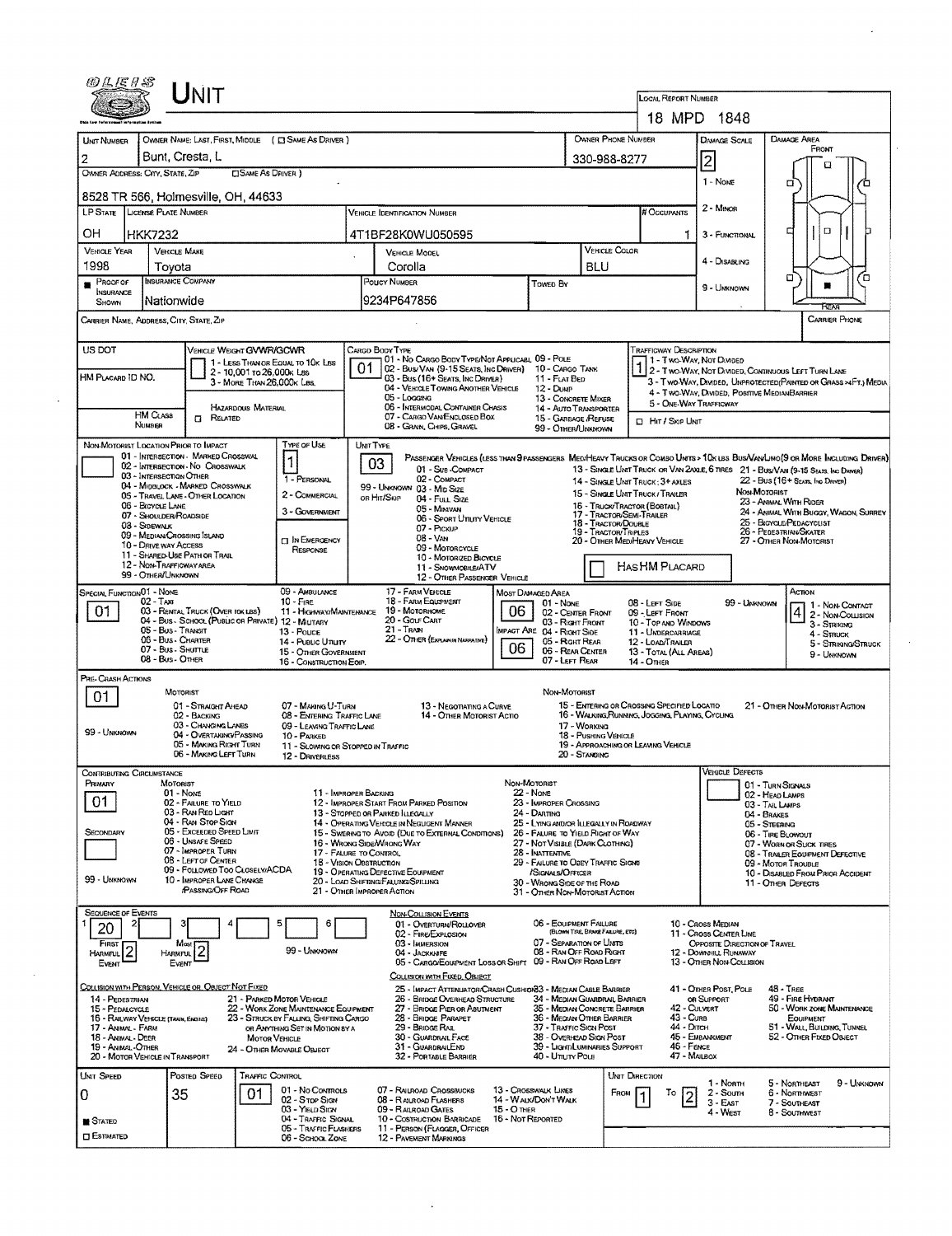| <b>INIT</b>                                                                                                                                                                                                                                                   | <b>LOCAL REPORT NUMBER</b>                                                                                                                                                                                         |  |  |  |  |  |  |  |
|---------------------------------------------------------------------------------------------------------------------------------------------------------------------------------------------------------------------------------------------------------------|--------------------------------------------------------------------------------------------------------------------------------------------------------------------------------------------------------------------|--|--|--|--|--|--|--|
|                                                                                                                                                                                                                                                               | 18 MPD 1848                                                                                                                                                                                                        |  |  |  |  |  |  |  |
| OWNER NAME: LAST, FIRST, MIDDLE ( C SAME AS DRIVER )<br>UNIT NUMBER                                                                                                                                                                                           | OWNER PHONE NUMBER<br>DAMAGE AREA<br><b>DAMAGE SCALE</b>                                                                                                                                                           |  |  |  |  |  |  |  |
| Bunt, Cresta, L<br>330-988-8277                                                                                                                                                                                                                               | FRONT                                                                                                                                                                                                              |  |  |  |  |  |  |  |
| OWNER ADDRESS: CITY, STATE, ZIP<br><b>CISAME AS DRIVER</b> )                                                                                                                                                                                                  | $\overline{2}$<br>O                                                                                                                                                                                                |  |  |  |  |  |  |  |
|                                                                                                                                                                                                                                                               | 1 - NOME<br>α<br>ά                                                                                                                                                                                                 |  |  |  |  |  |  |  |
| 8528 TR 566, Holmesville, OH, 44633                                                                                                                                                                                                                           |                                                                                                                                                                                                                    |  |  |  |  |  |  |  |
| <b>LP STATE LICENSE PLATE NUMBER</b><br>VEHICLE IDENTIFICATION NUMBER                                                                                                                                                                                         | 2 - MINOR<br># Occupants                                                                                                                                                                                           |  |  |  |  |  |  |  |
| OН<br><b>HKK7232</b><br>4T1BF28K0WU050595                                                                                                                                                                                                                     | $\Box$<br>1<br>3 - FUNCTIONAL                                                                                                                                                                                      |  |  |  |  |  |  |  |
| <b>VEHICLE YEAR</b><br><b>VEHICLE MAKE</b><br><b>VEHICLE MODEL</b>                                                                                                                                                                                            | <b>VEHICLE COLOR</b>                                                                                                                                                                                               |  |  |  |  |  |  |  |
| 1998<br>Corolla<br>BLU<br>Tovota                                                                                                                                                                                                                              | 4 - DISABLING                                                                                                                                                                                                      |  |  |  |  |  |  |  |
| <b>INSURANCE COMPANY</b><br>POUCY NUMBER<br>Proof of<br>Towed By                                                                                                                                                                                              | Έ<br>o                                                                                                                                                                                                             |  |  |  |  |  |  |  |
| INSURANCE<br>9234P647856<br>Nationwide<br>SHOWN                                                                                                                                                                                                               | 9 - UNKNOWN                                                                                                                                                                                                        |  |  |  |  |  |  |  |
|                                                                                                                                                                                                                                                               |                                                                                                                                                                                                                    |  |  |  |  |  |  |  |
| CARRIER NAME, ADDRESS, CITY, STATE, ZIP                                                                                                                                                                                                                       | <b>CARRIER PHONE</b>                                                                                                                                                                                               |  |  |  |  |  |  |  |
|                                                                                                                                                                                                                                                               |                                                                                                                                                                                                                    |  |  |  |  |  |  |  |
| US DOT<br>VEHICLE WEIGHT GVWR/GCWR<br>CARGO BODY TYPE<br>01 - No CARGO BODY TYPE/NOT APPLICABL 09 - POLE<br>1 - LESS THAN OR EQUAL TO 10K LBS                                                                                                                 | <b>TRAFFICWAY DESCRIPTION</b><br>1 - Two-Way, Not Divideo                                                                                                                                                          |  |  |  |  |  |  |  |
| 01<br>02 - Bus/VAN (9-15 SEATS, INC DRIVER) 10 - CARGO TANK<br>2 - 10,001 to 26,000k LBs<br>HM PLACARD ID NO.                                                                                                                                                 | 1 2 - Two-Way, Not Divided, Continuous Left Turn Lane                                                                                                                                                              |  |  |  |  |  |  |  |
| 03 - Bus (16+ Seats, Inc Driver)<br>11 - FLAT BED<br>3 - MORE THAN 26,000K LBS.<br>04 - VEHICLE TOWING ANOTHER VEHICLE<br>12 - Dump                                                                                                                           | 3 - Two-WAY, DIVIDEO, UNPROTECTED (PAINTED OR GRASS >4FT.) MEDIA<br>4 - TWO-WAY, DIVIDED, POSITIVE MEDIANBARRIER                                                                                                   |  |  |  |  |  |  |  |
| 05 - Locains<br>13 - CONCRETE MIXER<br>06 - INTERMODAL CONTAINER CHASIS<br>HAZARDOUS MATERIAL<br>14 - AUTO TRANSPORTER                                                                                                                                        | 5 - ONE-WAY TRAFFICWAY                                                                                                                                                                                             |  |  |  |  |  |  |  |
| <b>HM CLASS</b><br>07 - CARGO VAN ENGLOSED BOX<br><b>CI RELATED</b><br>15 - GARBAGE /REFUSE                                                                                                                                                                   | $\Box$ Hir / Skip Unit                                                                                                                                                                                             |  |  |  |  |  |  |  |
| NUMBER<br>08 - GRAIN, CHIPS, GRAVEL<br>99 - OTHER/UNKNOWN                                                                                                                                                                                                     |                                                                                                                                                                                                                    |  |  |  |  |  |  |  |
| TYPE OF USE<br>NON-MOTORIST LOCATION PRIOR TO IMPACT<br>UNIT TYPE                                                                                                                                                                                             |                                                                                                                                                                                                                    |  |  |  |  |  |  |  |
| 01 - INTERSECTION - MARKED CROSSWAL<br>$\mathbf{1}$<br>03<br>02 - INTERSECTION - NO CROSSWALK<br>01 - Sub-COMPACT                                                                                                                                             | PASSENGER VEHICLES (LESS THAN PRASSENGERS MEDIMEANY TRUCKS OR COMBO UNITS > 10K LBS BUS/VAN/LIMO(9 OR MORE INCLUDING DRIVER)<br>13 - SINGLE UNIT TRUCK OR VAN 2AXLE, 6 TIRES 21 - BUS/VAN (9-15 SEATS, INC DRIVER) |  |  |  |  |  |  |  |
| 03 - INTERSECTION OTHER<br>1 - PERSONAL<br>02 - COMPACT                                                                                                                                                                                                       | 22 - Bus (16+ Seats, Ing Driver)<br>14 - SINGLE UNIT TRUCK: 3+ AXLES                                                                                                                                               |  |  |  |  |  |  |  |
| 04 - MIDBLOCK - MARKED CROSSWALK<br>99 - Unknown 03 - Mid Size<br>2 - COMMERCIAL<br>05 - Travel LANE - OTHER LOCATION<br>ов Ни/Sки<br>04 - Full Size                                                                                                          | NON-MOTORIST<br>15 - SINGLE LINT TRUCK/TRAILER                                                                                                                                                                     |  |  |  |  |  |  |  |
| 06 - BICYCLE LANE<br>05 - Minivan<br>3 - GOVERNMENT                                                                                                                                                                                                           | 23 - Animal With Rider<br>16 - TRUCK/TRACTOR (BOBTAIL)<br>24 - ANIMAL WITH BUGGY, WAGON, SURREY<br>17 - TRACTOR/SEMI-TRAILER                                                                                       |  |  |  |  |  |  |  |
| 07 - SHOULDER/ROADSIDE<br>06 - SPORT UTILITY VEHICLE<br>08 - SOEWALK<br>07 - PICKUP                                                                                                                                                                           | 25 - BICYCLE/PEDACYCLIST<br>18 - TRACTOR/DOUBLE                                                                                                                                                                    |  |  |  |  |  |  |  |
| 09 - MEDIAN CROSSING ISLAND<br>$08 - VAN$<br><b>CI IN EMERGENCY</b>                                                                                                                                                                                           | 26 - PEDESTRIAN/SKATER<br>19 - TRACTOR/TRIPLES<br>20 - OTHER MEDIHEAVY VEHICLE<br>27 - OTHER NON-MOTORIST                                                                                                          |  |  |  |  |  |  |  |
| 10 - DRIVE WAY ACCESS<br>09 - MOTORCYCLE<br>RESPONSE<br>11 - SHARED-USE PATH OR TRAIL<br>10 - MOTORIZED BICYCLE                                                                                                                                               |                                                                                                                                                                                                                    |  |  |  |  |  |  |  |
| 12 - NON-TRAFFICWAY AREA<br>11 - SNOWMOBILE/ATV<br>99 - OTHER/UNKNOWN                                                                                                                                                                                         | HASHM PLACARD                                                                                                                                                                                                      |  |  |  |  |  |  |  |
| 12 - OTHER PASSENGER VEHICLE                                                                                                                                                                                                                                  |                                                                                                                                                                                                                    |  |  |  |  |  |  |  |
| SPECIAL FUNCTION 01 - NONE<br>09 - AMBULANCE<br>17 - FARM VEHICLE<br>MOST DAMAGED AREA<br>$02 - T_Ax$<br>$10 -$ Fine<br>18 - FARM EQUIPMENT<br>01 - None                                                                                                      | ACTION<br>08 - LEFT SIDE<br>99 - UNKNOWN                                                                                                                                                                           |  |  |  |  |  |  |  |
| 06<br>01<br>03 - RENTAL TRUCK (OVER 10KLBS)<br>11 - HIGHWAY/MAINTENANCE<br>19 - Мотовноме<br>02 - CENTER FRONT                                                                                                                                                | 1 1 - Non-Contact<br>$\overline{\mathbf{r}}$<br>09 - LEFT FRONT<br>2 - Non-Collision                                                                                                                               |  |  |  |  |  |  |  |
| 04 - Bus - SCHOOL (PUBLIC OR PRIVATE) 12 - MILITARY<br>20 - Golf Cart<br>03 - Right Front<br>10 - Top and Windows<br>3 - STRIKING<br>21 - Tran<br>05 - Bus - Transit<br><b>IMPACT ARE 04 - RIGHT SIDE</b><br>13 - Pouce<br>11 - UNDERCARRIAGE<br>4 - Struck   |                                                                                                                                                                                                                    |  |  |  |  |  |  |  |
| 22 - OTHER (EXPLAN IN NARRATIVE)<br>06 - Bus - Charter<br>05 - Right Rear<br>14 - PUBLIC UTILITY<br>06                                                                                                                                                        | 12 - LOAD/TRAILER<br>5 - STRIKING/STRUCK                                                                                                                                                                           |  |  |  |  |  |  |  |
| 07 - Bus - SHUTTLE<br>06 - REAR CENTER<br>15 - OTHER GOVERNMENT<br>08 - Bus - OTHER<br>07 - LEFT REAR<br>16 - CONSTRUCTION EOIP.                                                                                                                              | 13 - TOTAL (ALL AREAS)<br>9 - UNKNOWN<br><b>14 - OTHER</b>                                                                                                                                                         |  |  |  |  |  |  |  |
| PRE-CRASH ACTIONS                                                                                                                                                                                                                                             |                                                                                                                                                                                                                    |  |  |  |  |  |  |  |
| NON-MOTORIST<br>MOTORIST                                                                                                                                                                                                                                      |                                                                                                                                                                                                                    |  |  |  |  |  |  |  |
| 01<br>01 - STRAIGHT AHEAD<br>07 - MAKING U-TURN<br>13 - Negotiating a Curve                                                                                                                                                                                   | 15 - ENTERING OR CROSSING SPECIFIED LOCATIO<br>21 - OTHER NON-MOTORIST ACTION                                                                                                                                      |  |  |  |  |  |  |  |
| 02 - BACKING<br>08 - ENTERING TRAFFIC LANE<br>14 - OTHER MOTORIST ACTIO<br>03 - CHANGING LANES<br>09 - LEAVING TRAFFIC LANE<br>17 - WORKING                                                                                                                   | 16 - WALKING, RUNNING, JOGGING, PLAYING, CYCLING                                                                                                                                                                   |  |  |  |  |  |  |  |
| 99 - UNKNOWN<br>04 - OVERTAKING/PASSING<br>10 - PARKED<br>18 - Pushing Vehicle                                                                                                                                                                                |                                                                                                                                                                                                                    |  |  |  |  |  |  |  |
| 05 - MAKING RIGHT TURN<br>11 - Slowing or Stopped in Traffic<br>06 - Making Left Turn<br>20 - STANDING<br>12 - DRIVERLESS                                                                                                                                     | 19 - APPROACHING OR LEAVING VEHICLE                                                                                                                                                                                |  |  |  |  |  |  |  |
|                                                                                                                                                                                                                                                               |                                                                                                                                                                                                                    |  |  |  |  |  |  |  |
| Jontributing Circumstance<br>NON-MOTORIST<br>PRIMARY<br>MOTORIST                                                                                                                                                                                              | <b>VEHICLE DEFECTS</b><br>01 - TURN SIGNALS                                                                                                                                                                        |  |  |  |  |  |  |  |
|                                                                                                                                                                                                                                                               |                                                                                                                                                                                                                    |  |  |  |  |  |  |  |
| 11 - IMPROPER BACKING<br>22 - Nove<br>$01 - None$                                                                                                                                                                                                             | 02 - HEAD LAMPS                                                                                                                                                                                                    |  |  |  |  |  |  |  |
| 01<br>02 - FAILURE TO YIELD<br>12 - IMPROPER START FROM PARKED POSITION<br>23 - IMPROPER CROSSING<br>03 - RAN RED LIGHT<br>24 - DARTING                                                                                                                       | 03 - TAIL LAMPS                                                                                                                                                                                                    |  |  |  |  |  |  |  |
| 13 - STOPPED OR PARKED LLEGALLY<br>04 - RAN STOP SIGN<br>14 - OPERATING VEHICLE IN NEGUGENT MANNER<br>25 - LYING ANDIOR ILLEGALLY IN ROADWAY                                                                                                                  | 04 - BRAKES<br>05 - STEERING                                                                                                                                                                                       |  |  |  |  |  |  |  |
| 05 - Exceeded Speed LIMT<br>Secondary<br>15 - Swering to Avoid (Due to External Conditions)<br>26 - FALURE TO YIELD RIGHT OF WAY<br>06 - UNSAFE SPEED                                                                                                         | 06 - TIRE BLOWOUT                                                                                                                                                                                                  |  |  |  |  |  |  |  |
| 16 - WRONG SIDE/WRONG WAY<br>27 - NOT VISIBLE (DARK CLOTHING)<br>07 - IMPROPER TURN<br>17 - FALURE TO CONTROL<br>28 INATTENTIVE                                                                                                                               | 07 - WORN OR SUCK TIRES<br>08 - TRAILER EQUIPMENT DEFECTIVE                                                                                                                                                        |  |  |  |  |  |  |  |
| 08 - LEFT OF CENTER<br>18 - VISION OBSTRUCTION<br>29 - FAILURE TO OBEY TRAFFIC SIGNS<br>09 - FOLLOWED TOO CLOSELY/ACDA<br>19 - OPERATING DEFECTIVE EQUIPMENT<br>/SIGNALS/OFFICER                                                                              | 09 - MOTOR TROUBLE                                                                                                                                                                                                 |  |  |  |  |  |  |  |
| 99 - UNKNOWN<br>10 - IMPROPER LANE CHANGE<br>20 - LOAD SHIFTING/FALUNG/SPILLING<br>30 - WRONG SIDE OF THE ROAD                                                                                                                                                | 10 - DISABLED FROM PRIOR ACCIDENT<br>11 - OTHER DEFECTS                                                                                                                                                            |  |  |  |  |  |  |  |
| PASSING OFF ROAD<br>21 - OTHER IMPROPER ACTION<br>31 - OTHER NON-MOTORIST ACTION                                                                                                                                                                              |                                                                                                                                                                                                                    |  |  |  |  |  |  |  |
| <b>SEQUENCE OF EVENTS</b><br>NON-COLLISION EVENTS                                                                                                                                                                                                             |                                                                                                                                                                                                                    |  |  |  |  |  |  |  |
| 06 - EQUIPMENT FAILURE<br>6<br>01 - OVERTURN/ROLLOVER<br>20<br>(BLOWN TIRE, BRAKE FAILURE, ETC)                                                                                                                                                               | 10 - CROSS MEDIAN                                                                                                                                                                                                  |  |  |  |  |  |  |  |
| 02 - FIRE/EXPLOSION<br>07 - SEPARATION OF UNITS<br><b>FIRST</b><br>03 - IMMERSION<br>Most                                                                                                                                                                     | 11 - Cross Center Line<br><b>OPPOSTTE DIRECTION OF TRAVEL</b>                                                                                                                                                      |  |  |  |  |  |  |  |
| HARMFUL <sup>2</sup><br>99 - Unionown<br>08 - RAN OFF ROAD RIGHT<br>04 - JACKKNIFE<br>HARMFUL<br>09 - RAN OFF ROAD LEFT                                                                                                                                       | 12 - DOWNNILL RUNAWAY<br>13 - OTHER NON-COLLISION                                                                                                                                                                  |  |  |  |  |  |  |  |
| 05 - CARGO/EOUPMENT LOSS OR SHIFT<br>EVENT<br>EVENT<br>COLLISION WITH FIXED, OBJECT                                                                                                                                                                           |                                                                                                                                                                                                                    |  |  |  |  |  |  |  |
| 25 - Impact Attenuator/Crash Cushion33 - Median Cable Barrier                                                                                                                                                                                                 | 41 - OTHER POST, POLE<br>$48 -$ TREE                                                                                                                                                                               |  |  |  |  |  |  |  |
| 14 - PEDESTRIAN<br>21 - PARKED MOTOR VEHICLE<br>26 - BRIDGE OVERHEAD STRUCTURE<br>34 - MEDIAN GUARDRAIL BARRIER                                                                                                                                               | 49 - FIRE HYDRANT<br>OR SUPPORT                                                                                                                                                                                    |  |  |  |  |  |  |  |
| 22 - WORK ZONE MAINTENANCE EQUIPMENT<br>27 - BRIDGE PIER OR ABUTMENT<br>35 - MEDIAN CONCRETE BARRIER<br>15 - PEDALCYCLE<br>36 - MEDIAN OTHER BARRIER<br>15 - RAILWAY VEHICLE (TRAIN, ENDIAE)<br>23 - STRUCK BY FALLING, SHIFTING CARGO<br>28 - BRIDGE PARAPET | 42 - CULVERT<br>50 - WORK ZONE MAINTENANCE<br>43 - Curs<br>EQUIPMENT                                                                                                                                               |  |  |  |  |  |  |  |
| COLLISION WITH PERSON, VEHICLE OR OBJECT NOT FIXED<br>37 - TRAFFIC SIGN POST<br>17 - ANNAL - FARM<br>OR ANYTHING SET IN MOTION BY A<br>29 - BRIDGE RAIL                                                                                                       | 44 - Олтон<br>51 - WALL, BUILDING, TUNNEL                                                                                                                                                                          |  |  |  |  |  |  |  |
| 30 - GUARDRAIL FACE<br>38 - Overhead Ston Post<br>18 - Animal - Deer<br><b>MOTOR VEHICLE</b><br>31 - GUARDRAILEND<br>39 - Light/Luminaries Support<br>19 - ANIMAL-OTHER<br>24 - OTHER MOVABLE OBJECT                                                          | 45 - EMBANKMENT<br>52 - OTHER FIXED OBJECT<br>46 - FENCE                                                                                                                                                           |  |  |  |  |  |  |  |
| 20 - MOTOR VEHICLE IN TRANSPORT<br>32 - PORTABLE BARBIER<br>40 - Umury Pous                                                                                                                                                                                   | 47 - MAILBOX                                                                                                                                                                                                       |  |  |  |  |  |  |  |
| Posteo Speep<br>TRAFFIC CONTROL                                                                                                                                                                                                                               | <b>UNIT DIRECTION</b>                                                                                                                                                                                              |  |  |  |  |  |  |  |
| UNIT SPEED<br>01 - No Controls<br>07 - RAILROAD CROSSBUCKS<br>13 CROSSWALK LINES                                                                                                                                                                              | 5 - NORTHEAST<br>9 - UNKNOWN<br>1 - North<br>2 - Soum<br>6 - NORTHWEST<br>FROM<br>Т٥                                                                                                                               |  |  |  |  |  |  |  |
| 01<br>35<br>0<br>02 - Stop Sign<br>14 - WALK/DON'T WALK<br>08 - Rauroad Flashers<br>03 - YIELD SIGN<br>15 - O THER<br>09 - Ralroad Gates                                                                                                                      | $3 - EAST$<br>7 - SOUTHEAST                                                                                                                                                                                        |  |  |  |  |  |  |  |
| 04 - TRAFFIC SIGNAL<br>10 - Costruction Barricade<br>16 - Not Reported<br><b>STATED</b><br>05 - TRAFFIC FLASHERS<br>11 - PERSON (FLAGGER, OFFICER                                                                                                             | 4 - West<br>8 - Southwest                                                                                                                                                                                          |  |  |  |  |  |  |  |

 $\hat{\mathcal{A}}$ 

÷,

 $\epsilon$ 

 $\sim$ 

 $\sim 10^{-1}$